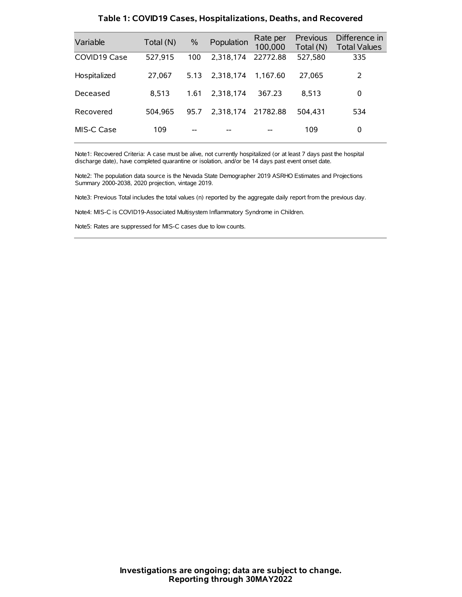| Variable     | Total (N) | $\%$ | Population | Rate per<br>100,000 | Previous<br>Total (N) | Difference in<br><b>Total Values</b> |
|--------------|-----------|------|------------|---------------------|-----------------------|--------------------------------------|
| COVID19 Case | 527.915   | 100  | 2.318.174  | 22772.88            | 527,580               | 335                                  |
| Hospitalized | 27.067    | 5.13 | 2.318.174  | 1.167.60            | 27.065                | 2                                    |
| Deceased     | 8.513     | 1.61 | 2.318.174  | 367.23              | 8.513                 | 0                                    |
| Recovered    | 504.965   | 95.7 | 2,318,174  | 21782.88            | 504.431               | 534                                  |
| MIS-C Case   | 109       | --   |            |                     | 109                   | 0                                    |

#### **Table 1: COVID19 Cases, Hospitalizations, Deaths, and Recovered**

Note1: Recovered Criteria: A case must be alive, not currently hospitalized (or at least 7 days past the hospital discharge date), have completed quarantine or isolation, and/or be 14 days past event onset date.

Note2: The population data source is the Nevada State Demographer 2019 ASRHO Estimates and Projections Summary 2000-2038, 2020 projection, vintage 2019.

Note3: Previous Total includes the total values (n) reported by the aggregate daily report from the previous day.

Note4: MIS-C is COVID19-Associated Multisystem Inflammatory Syndrome in Children.

Note5: Rates are suppressed for MIS-C cases due to low counts.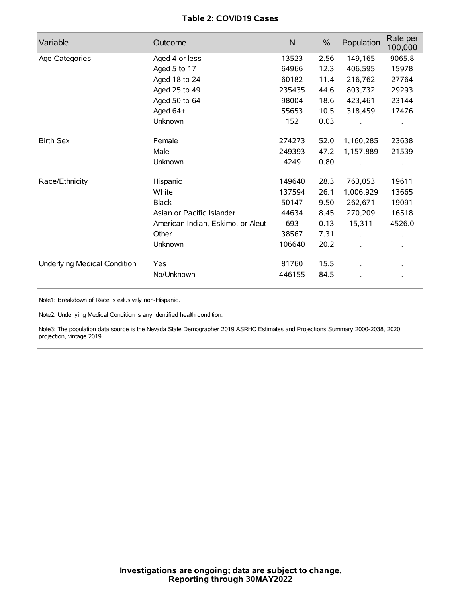# **Table 2: COVID19 Cases**

| Variable                     | Outcome                           | $\mathsf{N}$ | $\%$ | Population           | Rate per<br>100,000 |
|------------------------------|-----------------------------------|--------------|------|----------------------|---------------------|
| Age Categories               | Aged 4 or less                    | 13523        | 2.56 | 149,165              | 9065.8              |
|                              | Aged 5 to 17                      | 64966        | 12.3 | 406,595              | 15978               |
|                              | Aged 18 to 24                     | 60182        | 11.4 | 216,762              | 27764               |
|                              | Aged 25 to 49                     | 235435       | 44.6 | 803,732              | 29293               |
|                              | Aged 50 to 64                     | 98004        | 18.6 | 423,461              | 23144               |
|                              | Aged 64+                          | 55653        | 10.5 | 318,459              | 17476               |
|                              | Unknown                           | 152          | 0.03 |                      |                     |
| <b>Birth Sex</b>             | Female                            | 274273       | 52.0 | 1,160,285            | 23638               |
|                              | Male                              | 249393       | 47.2 | 1,157,889            | 21539               |
|                              | Unknown                           | 4249         | 0.80 |                      |                     |
| Race/Ethnicity               | Hispanic                          | 149640       | 28.3 | 763,053              | 19611               |
|                              | White                             | 137594       | 26.1 | 1,006,929            | 13665               |
|                              | <b>Black</b>                      | 50147        | 9.50 | 262,671              | 19091               |
|                              | Asian or Pacific Islander         | 44634        | 8.45 | 270,209              | 16518               |
|                              | American Indian, Eskimo, or Aleut | 693          | 0.13 | 15,311               | 4526.0              |
|                              | Other                             | 38567        | 7.31 | $\ddot{\phantom{a}}$ |                     |
|                              | Unknown                           | 106640       | 20.2 | ÷.                   |                     |
| Underlying Medical Condition | Yes                               | 81760        | 15.5 |                      |                     |
|                              | No/Unknown                        | 446155       | 84.5 |                      |                     |

Note1: Breakdown of Race is exlusively non-Hispanic.

Note2: Underlying Medical Condition is any identified health condition.

Note3: The population data source is the Nevada State Demographer 2019 ASRHO Estimates and Projections Summary 2000-2038, 2020 projection, vintage 2019.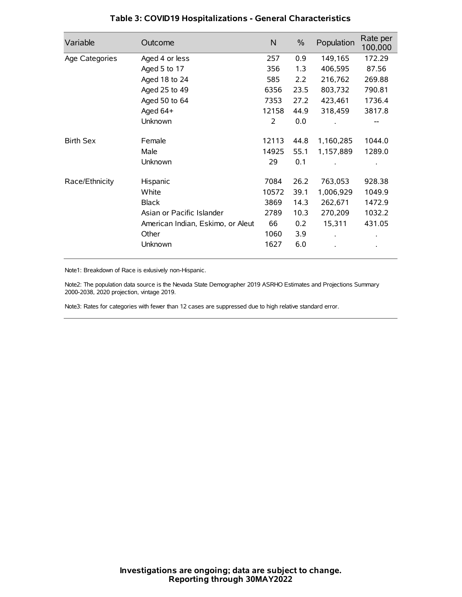| Variable         | Outcome                           | N     | $\%$ | Population | Rate per<br>100,000 |
|------------------|-----------------------------------|-------|------|------------|---------------------|
| Age Categories   | Aged 4 or less                    | 257   | 0.9  | 149,165    | 172.29              |
|                  | Aged 5 to 17                      | 356   | 1.3  | 406,595    | 87.56               |
|                  | Aged 18 to 24                     | 585   | 2.2  | 216,762    | 269.88              |
|                  | Aged 25 to 49                     | 6356  | 23.5 | 803,732    | 790.81              |
|                  | Aged 50 to 64                     | 7353  | 27.2 | 423,461    | 1736.4              |
|                  | Aged 64+                          | 12158 | 44.9 | 318,459    | 3817.8              |
|                  | Unknown                           | 2     | 0.0  |            |                     |
| <b>Birth Sex</b> | Female                            | 12113 | 44.8 | 1,160,285  | 1044.0              |
|                  | Male                              | 14925 | 55.1 | 1,157,889  | 1289.0              |
|                  | Unknown                           | 29    | 0.1  |            |                     |
| Race/Ethnicity   | Hispanic                          | 7084  | 26.2 | 763,053    | 928.38              |
|                  | White                             | 10572 | 39.1 | 1,006,929  | 1049.9              |
|                  | <b>Black</b>                      | 3869  | 14.3 | 262,671    | 1472.9              |
|                  | Asian or Pacific Islander         | 2789  | 10.3 | 270,209    | 1032.2              |
|                  | American Indian, Eskimo, or Aleut | 66    | 0.2  | 15,311     | 431.05              |
|                  | Other                             | 1060  | 3.9  |            |                     |
|                  | Unknown                           | 1627  | 6.0  |            |                     |

# **Table 3: COVID19 Hospitalizations - General Characteristics**

Note1: Breakdown of Race is exlusively non-Hispanic.

Note2: The population data source is the Nevada State Demographer 2019 ASRHO Estimates and Projections Summary 2000-2038, 2020 projection, vintage 2019.

Note3: Rates for categories with fewer than 12 cases are suppressed due to high relative standard error.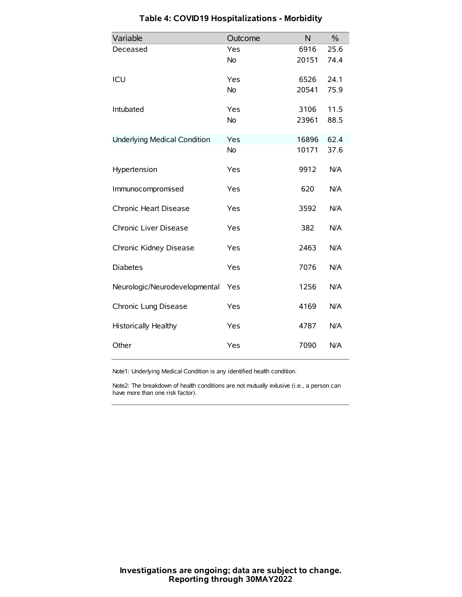| Variable                            | Outcome   | N     | $\frac{0}{0}$ |
|-------------------------------------|-----------|-------|---------------|
| Deceased                            | Yes       | 6916  | 25.6          |
|                                     | <b>No</b> | 20151 | 74.4          |
| ICU                                 | Yes       | 6526  | 24.1          |
|                                     | <b>No</b> | 20541 | 75.9          |
| Intubated                           | Yes       | 3106  | 11.5          |
|                                     | <b>No</b> | 23961 | 88.5          |
| <b>Underlying Medical Condition</b> | Yes       | 16896 | 62.4          |
|                                     | No        | 10171 | 37.6          |
| Hypertension                        | Yes       | 9912  | N/A           |
| Immunocompromised                   | Yes       | 620   | N/A           |
| Chronic Heart Disease               | Yes       | 3592  | N/A           |
| Chronic Liver Disease               | Yes       | 382   | N/A           |
| Chronic Kidney Disease              | Yes       | 2463  | N/A           |
| <b>Diabetes</b>                     | Yes       | 7076  | N/A           |
| Neurologic/Neurodevelopmental       | Yes       | 1256  | N/A           |
| Chronic Lung Disease                | Yes       | 4169  | N/A           |
| Historically Healthy                | Yes       | 4787  | N/A           |
| Other                               | Yes       | 7090  | N/A           |

# **Table 4: COVID19 Hospitalizations - Morbidity**

Note1: Underlying Medical Condition is any identified health condition.

Note2: The breakdown of health conditions are not mutually exlusive (i.e., a person can have more than one risk factor).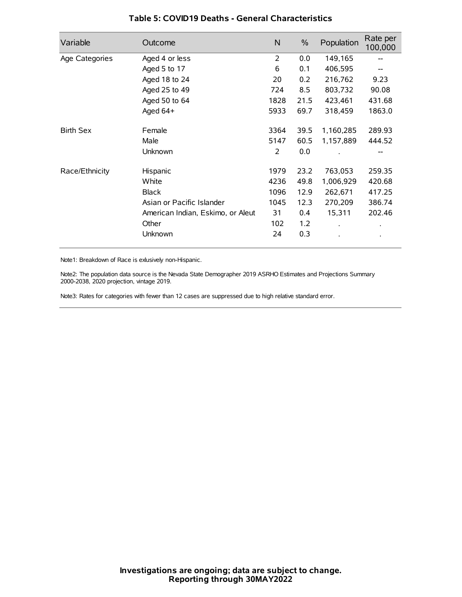| Variable         | Outcome                           | N    | $\frac{0}{0}$ | Population | Rate per<br>100,000 |
|------------------|-----------------------------------|------|---------------|------------|---------------------|
| Age Categories   | Aged 4 or less                    | 2    | 0.0           | 149,165    |                     |
|                  | Aged 5 to 17                      | 6    | 0.1           | 406,595    |                     |
|                  | Aged 18 to 24                     | 20   | 0.2           | 216,762    | 9.23                |
|                  | Aged 25 to 49                     | 724  | 8.5           | 803,732    | 90.08               |
|                  | Aged 50 to 64                     | 1828 | 21.5          | 423,461    | 431.68              |
|                  | Aged $64+$                        | 5933 | 69.7          | 318,459    | 1863.0              |
| <b>Birth Sex</b> | Female                            | 3364 | 39.5          | 1,160,285  | 289.93              |
|                  | Male                              | 5147 | 60.5          | 1,157,889  | 444.52              |
|                  | Unknown                           | 2    | 0.0           |            | --                  |
| Race/Ethnicity   | Hispanic                          | 1979 | 23.2          | 763,053    | 259.35              |
|                  | White                             | 4236 | 49.8          | 1,006,929  | 420.68              |
|                  | <b>Black</b>                      | 1096 | 12.9          | 262,671    | 417.25              |
|                  | Asian or Pacific Islander         | 1045 | 12.3          | 270,209    | 386.74              |
|                  | American Indian, Eskimo, or Aleut | 31   | 0.4           | 15,311     | 202.46              |
|                  | Other                             | 102  | 1.2           |            |                     |
|                  | Unknown                           | 24   | 0.3           |            |                     |

## **Table 5: COVID19 Deaths - General Characteristics**

Note1: Breakdown of Race is exlusively non-Hispanic.

Note2: The population data source is the Nevada State Demographer 2019 ASRHO Estimates and Projections Summary 2000-2038, 2020 projection, vintage 2019.

Note3: Rates for categories with fewer than 12 cases are suppressed due to high relative standard error.